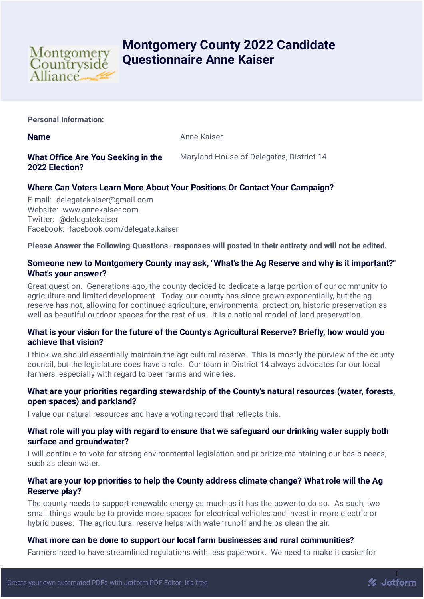

# **Montgomery County 2022 Candidate Questionnaire Anne Kaiser**

**Personal Information:**

**Name** Anne Kaiser

## **What Office Are You Seeking in the 2022 Election?**

Maryland House of Delegates, District 14

# **Where Can Voters Learn More About Your Positions Or Contact Your Campaign?**

E-mail: delegatekaiser@gmail.com Website: www.annekaiser.com Twitter: @delegatekaiser Facebook: facebook.com/delegate.kaiser

**Please Answer the Following Questions- responses will posted in their entirety and will not be edited.**

## **Someone new to Montgomery County may ask, "What's the Ag Reserve and why is it important?" What's your answer?**

Great question. Generations ago, the county decided to dedicate a large portion of our community to agriculture and limited development. Today, our county has since grown exponentially, but the ag reserve has not, allowing for continued agriculture, environmental protection, historic preservation as well as beautiful outdoor spaces for the rest of us. It is a national model of land preservation.

## **What is your vision for the future of the County's Agricultural Reserve? Briefly, how would you achieve that vision?**

I think we should essentially maintain the agricultural reserve. This is mostly the purview of the county council, but the legislature does have a role. Our team in District 14 always advocates for our local farmers, especially with regard to beer farms and wineries.

## **What are your priorities regarding stewardship of the County's natural resources (water, forests, open spaces) and parkland?**

I value our natural resources and have a voting record that reflects this.

## **What role will you play with regard to ensure that we safeguard our drinking water supply both surface and groundwater?**

I will continue to vote for strong environmental legislation and prioritize maintaining our basic needs, such as clean water.

## **What are your top priorities to help the County address climate change? What role will the Ag Reserve play?**

The county needs to support renewable energy as much as it has the power to do so. As such, two small things would be to provide more spaces for electrical vehicles and invest in more electric or hybrid buses. The agricultural reserve helps with water runoff and helps clean the air.

## **What more can be done to support our local farm businesses and rural communities?**

Farmers need to have streamlined regulations with less paperwork. We need to make it easier for